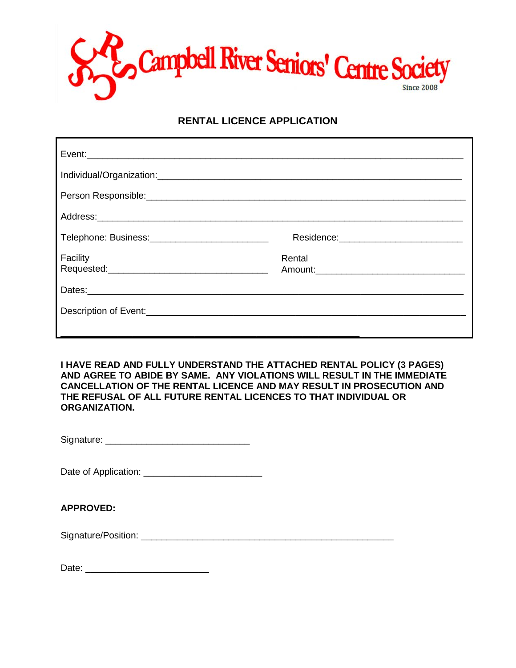

### **RENTAL LICENCE APPLICATION**

| Person Responsible: <u>contract and contract and contract and contract and contract and contract and contract and contract and contract and contract and contract and contract and contract and contract and contract and contra</u> |        |
|--------------------------------------------------------------------------------------------------------------------------------------------------------------------------------------------------------------------------------------|--------|
|                                                                                                                                                                                                                                      |        |
|                                                                                                                                                                                                                                      |        |
| Facility                                                                                                                                                                                                                             | Rental |
|                                                                                                                                                                                                                                      |        |
|                                                                                                                                                                                                                                      |        |

**I HAVE READ AND FULLY UNDERSTAND THE ATTACHED RENTAL POLICY (3 PAGES) AND AGREE TO ABIDE BY SAME. ANY VIOLATIONS WILL RESULT IN THE IMMEDIATE CANCELLATION OF THE RENTAL LICENCE AND MAY RESULT IN PROSECUTION AND THE REFUSAL OF ALL FUTURE RENTAL LICENCES TO THAT INDIVIDUAL OR ORGANIZATION.**

Signature: \_\_\_\_\_\_\_\_\_\_\_\_\_\_\_\_\_\_\_\_\_\_\_\_\_\_\_\_

Date of Application: \_\_\_\_\_\_\_\_\_\_\_\_\_\_\_\_\_\_\_\_\_\_\_

#### **APPROVED:**

Signature/Position: \_\_\_\_\_\_\_\_\_\_\_\_\_\_\_\_\_\_\_\_\_\_\_\_\_\_\_\_\_\_\_\_\_\_\_\_\_\_\_\_\_\_\_\_\_\_\_\_\_

Date: \_\_\_\_\_\_\_\_\_\_\_\_\_\_\_\_\_\_\_\_\_\_\_\_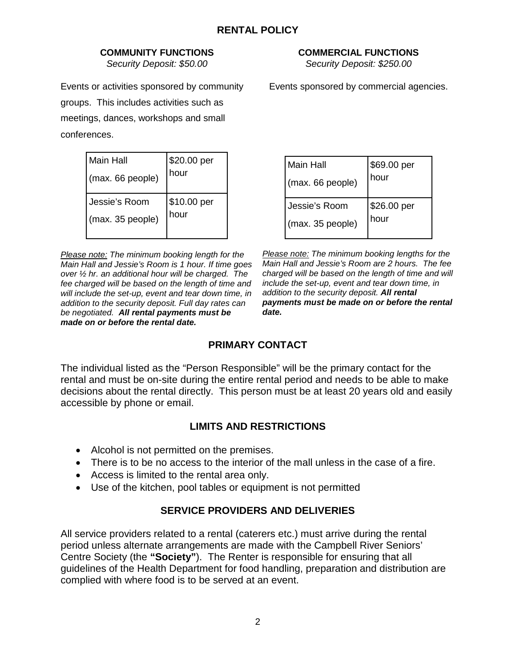#### **COMMUNITY FUNCTIONS** *Security Deposit: \$50.00*

Events or activities sponsored by community groups. This includes activities such as meetings, dances, workshops and small conferences.

| Main Hall        | \$20.00 per |
|------------------|-------------|
| (max. 66 people) | hour        |
| Jessie's Room    | \$10.00 per |
| (max. 35 people) | hour        |

*Please note: The minimum booking length for the Main Hall and Jessie's Room is 1 hour. If time goes over ½ hr. an additional hour will be charged. The fee charged will be based on the length of time and will include the set-up, event and tear down time, in addition to the security deposit. Full day rates can be negotiated. All rental payments must be made on or before the rental date.*

**COMMERCIAL FUNCTIONS**

*Security Deposit: \$250.00*

Events sponsored by commercial agencies.

| <b>Main Hall</b><br>(max. 66 people) | \$69.00 per<br>hour |
|--------------------------------------|---------------------|
| Jessie's Room                        | \$26.00 per         |
| (max. 35 people)                     | hour                |

*Please note: The minimum booking lengths for the Main Hall and Jessie's Room are 2 hours. The fee charged will be based on the length of time and will include the set-up, event and tear down time, in addition to the security deposit. All rental payments must be made on or before the rental date.*

## **PRIMARY CONTACT**

The individual listed as the "Person Responsible" will be the primary contact for the rental and must be on-site during the entire rental period and needs to be able to make decisions about the rental directly. This person must be at least 20 years old and easily accessible by phone or email.

## **LIMITS AND RESTRICTIONS**

- Alcohol is not permitted on the premises.
- There is to be no access to the interior of the mall unless in the case of a fire.
- Access is limited to the rental area only.
- Use of the kitchen, pool tables or equipment is not permitted

# **SERVICE PROVIDERS AND DELIVERIES**

All service providers related to a rental (caterers etc.) must arrive during the rental period unless alternate arrangements are made with the Campbell River Seniors' Centre Society (the **"Society"**). The Renter is responsible for ensuring that all guidelines of the Health Department for food handling, preparation and distribution are complied with where food is to be served at an event.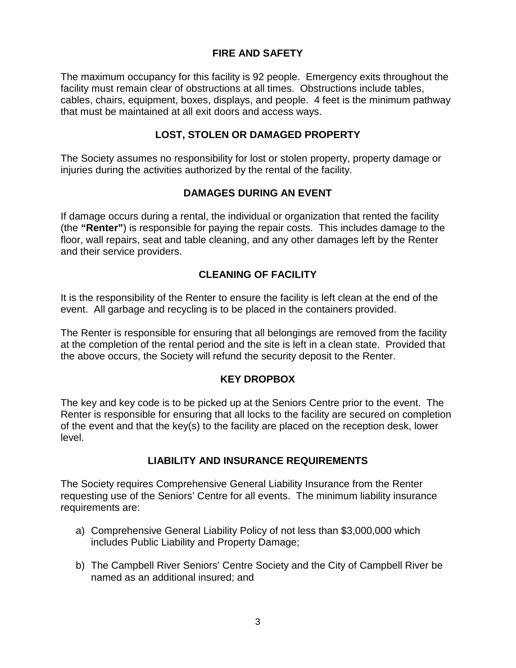### **FIRE AND SAFETY**

The maximum occupancy for this facility is 92 people. Emergency exits throughout the facility must remain clear of obstructions at all times. Obstructions include tables, cables, chairs, equipment, boxes, displays, and people. 4 feet is the minimum pathway that must be maintained at all exit doors and access ways.

#### **LOST, STOLEN OR DAMAGED PROPERTY**

The Society assumes no responsibility for lost or stolen property, property damage or injuries during the activities authorized by the rental of the facility.

#### **DAMAGES DURING AN EVENT**

If damage occurs during a rental, the individual or organization that rented the facility (the **"Renter"**) is responsible for paying the repair costs. This includes damage to the floor, wall repairs, seat and table cleaning, and any other damages left by the Renter and their service providers.

### **CLEANING OF FACILITY**

It is the responsibility of the Renter to ensure the facility is left clean at the end of the event. All garbage and recycling is to be placed in the containers provided.

The Renter is responsible for ensuring that all belongings are removed from the facility at the completion of the rental period and the site is left in a clean state. Provided that the above occurs, the Society will refund the security deposit to the Renter.

#### **KEY DROPBOX**

The key and key code is to be picked up at the Seniors Centre prior to the event. The Renter is responsible for ensuring that all locks to the facility are secured on completion of the event and that the key(s) to the facility are placed on the reception desk, lower level.

#### **LIABILITY AND INSURANCE REQUIREMENTS**

The Society requires Comprehensive General Liability Insurance from the Renter requesting use of the Seniors' Centre for all events. The minimum liability insurance requirements are:

- a) Comprehensive General Liability Policy of not less than \$3,000,000 which includes Public Liability and Property Damage;
- b) The Campbell River Seniors' Centre Society and the City of Campbell River be named as an additional insured; and